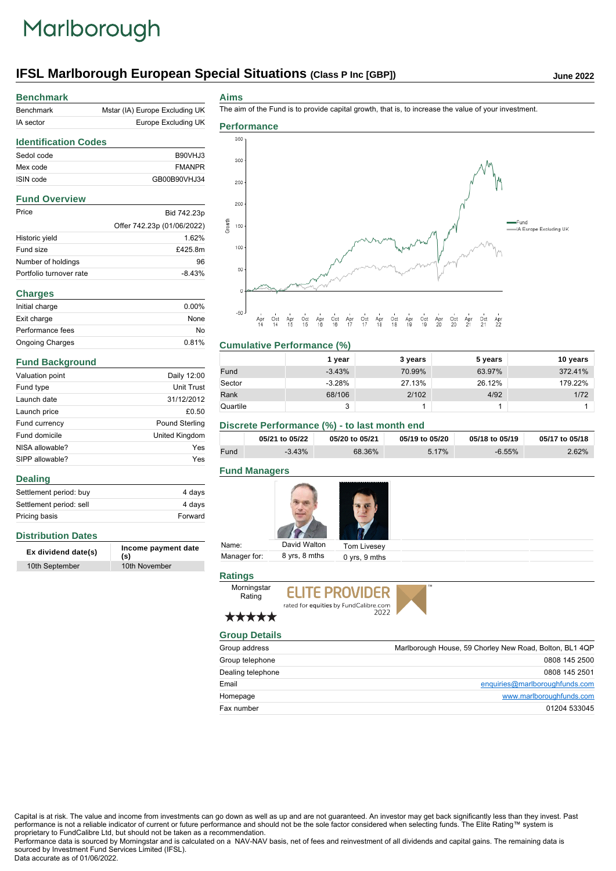## Marlborough

## **IFSL Marlborough European Special Situations (Class P Inc [GBP])** June 2022

| <b>Benchmark</b>            |                                |  |
|-----------------------------|--------------------------------|--|
| <b>Benchmark</b>            | Mstar (IA) Europe Excluding UK |  |
| IA sector                   | Europe Excluding UK            |  |
| <b>Identification Codes</b> |                                |  |
| Sedol code                  | <b>B90VHJ3</b>                 |  |
| Mex code                    | <b>FMANPR</b>                  |  |
| ISIN code                   | GB00B90VHJ34                   |  |
| <b>Fund Overview</b>        |                                |  |
| Price                       | Bid 742.23p                    |  |
|                             | Offer 742.23p (01/06/2022)     |  |
| Historic yield              | 1.62%                          |  |
| Fund size                   | £425.8m                        |  |
| Number of holdings          | 96                             |  |
| Portfolio turnover rate     | $-8.43%$                       |  |
| <b>Charges</b>              |                                |  |
| Initial charge              | $0.00\%$                       |  |
| Exit charge                 | None                           |  |
| Performance fees            | No                             |  |
| <b>Ongoing Charges</b>      | 0.81%                          |  |
| <b>Fund Background</b>      |                                |  |
| <b>Valuation point</b>      | Daily 12:00                    |  |

Fund type Unit Trust Launch date 31/12/2012 Launch price  $£0.50$ Fund currency **Pound Sterling** Fund domicile **United Kingdom** NISA allowable? Yes SIPP allowable? Yes

Settlement period: buy 4 days Settlement period: sell 4 days Pricing basis **Forward** 

**Ex dividend date(s) Income payment date (s)**

10th September 10th November

**Aims**

The aim of the Fund is to provide capital growth, that is, to increase the value of your investment.



### **Cumulative Performance (%)**

|          | l year   | 3 years | 5 years | 10 years |
|----------|----------|---------|---------|----------|
| Fund     | $-3.43%$ | 70.99%  | 63.97%  | 372.41%  |
| Sector   | $-3.28%$ | 27.13%  | 26.12%  | 179.22%  |
| Rank     | 68/106   | 2/102   | 4/92    | 1/72     |
| Quartile | 3        |         |         |          |

### **Discrete Performance (%) - to last month end**

|      | 05/21 to 05/22 | 05/20 to 05/21 | 05/19 to 05/20 | 05/18 to 05/19 | 05/17 to 05/18 |
|------|----------------|----------------|----------------|----------------|----------------|
| Fund | $-3.43%$       | 68.36%         | 5.17%          | $-6.55%$       | 2.62%          |

### **Fund Managers**



| Name:        | David Walton  | Tom Livesev       |  |
|--------------|---------------|-------------------|--|
| Manager for: | 8 yrs, 8 mths | $0$ vrs. $9$ mths |  |

### **Ratings**

Rating

Morningstar **ELITE PROVIDER** 



# rated for equities by FundCalibre.com



\*\*\*\*\* **Group Details**

| Group address     | Marlborough House, 59 Chorley New Road, Bolton, BL1 4QP |
|-------------------|---------------------------------------------------------|
| Group telephone   | 0808 145 2500                                           |
| Dealing telephone | 0808 145 2501                                           |
| Email             | enquiries@marlboroughfunds.com                          |
| Homepage          | www.marlboroughfunds.com                                |
| Fax number        | 01204 533045                                            |

Capital is at risk. The value and income from investments can go down as well as up and are not guaranteed. An investor may get back significantly less than they invest. Past performance is not a reliable indicator of current or future performance and should not be the sole factor considered when selecting funds. The Elite Rating™ system is proprietary to FundCalibre Ltd, but should not be taken as a recommendation.

Performance data is sourced by Morningstar and is calculated on a NAV-NAV basis, net of fees and reinvestment of all dividends and capital gains. The remaining data is sourced by Investment Fund Services Limited (IFSL).

Data accurate as of 01/06/2022.

**Distribution Dates**

**Dealing**